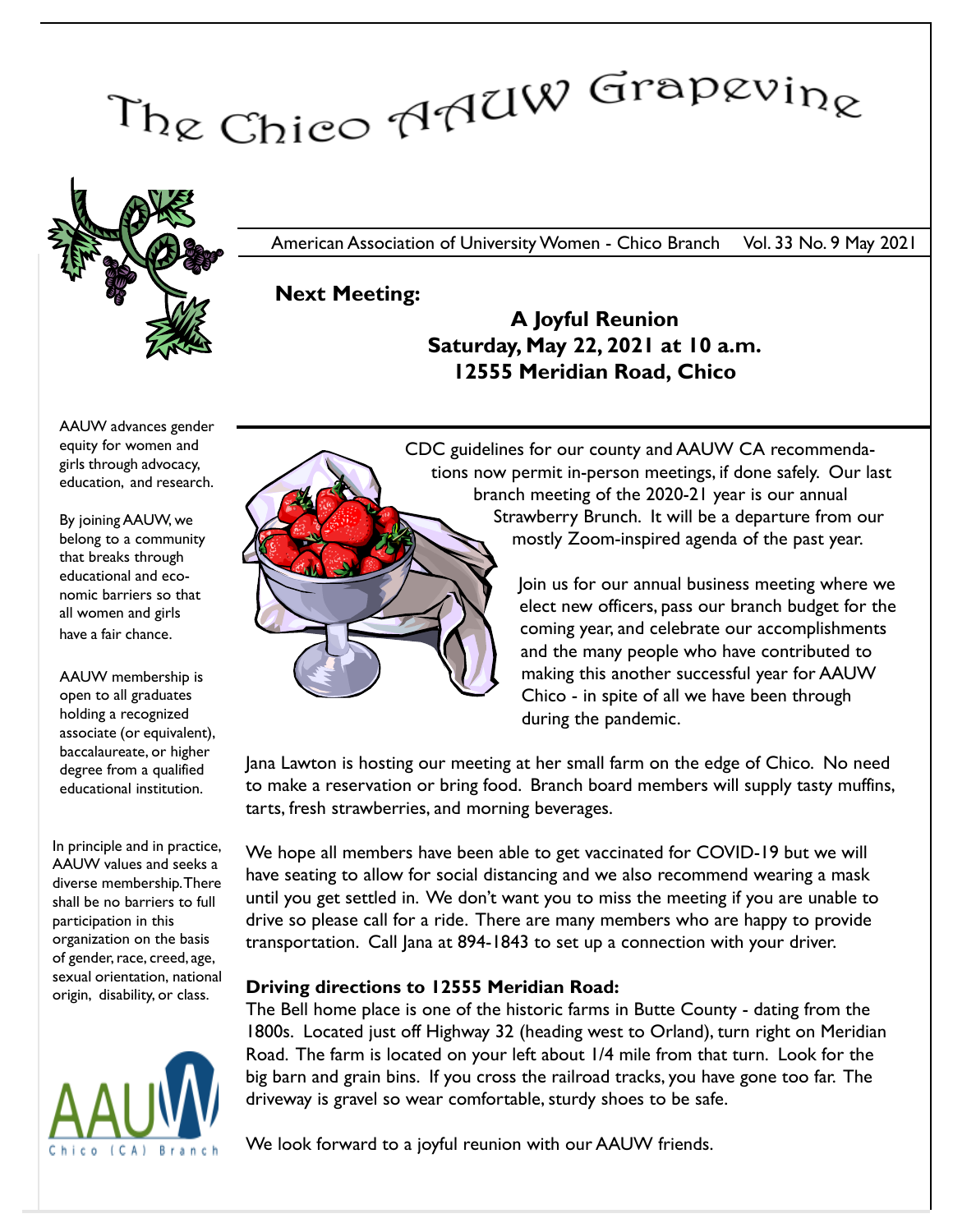# The Chico AAUW Grapevine



American Association of University Women - Chico Branch Vol. 33 No. 9 May 2021

### Next Meeting:

A Joyful Reunion Saturday, May 22, 2021 at 10 a.m. 12555 Meridian Road, Chico

AAUW advances gender equity for women and girls through advocacy, education, and research.

By joining AAUW, we belong to a community that breaks through educational and economic barriers so that all women and girls have a fair chance.

AAUW membership is open to all graduates holding a recognized associate (or equivalent), baccalaureate, or higher degree from a qualified educational institution.

In principle and in practice, AAUW values and seeks a diverse membership. There shall be no barriers to full participation in this organization on the basis of gender, race, creed, age, sexual orientation, national origin, disability, or class.





elect new officers, pass our branch budget for the coming year, and celebrate our accomplishments and the many people who have contributed to making this another successful year for AAUW Chico - in spite of all we have been through during the pandemic.

Jana Lawton is hosting our meeting at her small farm on the edge of Chico. No need to make a reservation or bring food. Branch board members will supply tasty muffins, tarts, fresh strawberries, and morning beverages.

We hope all members have been able to get vaccinated for COVID-19 but we will have seating to allow for social distancing and we also recommend wearing a mask until you get settled in. We don't want you to miss the meeting if you are unable to drive so please call for a ride. There are many members who are happy to provide transportation. Call Jana at 894-1843 to set up a connection with your driver.

#### Driving directions to 12555 Meridian Road:

The Bell home place is one of the historic farms in Butte County - dating from the 1800s. Located just off Highway 32 (heading west to Orland), turn right on Meridian Road. The farm is located on your left about 1/4 mile from that turn. Look for the big barn and grain bins. If you cross the railroad tracks, you have gone too far. The driveway is gravel so wear comfortable, sturdy shoes to be safe.

We look forward to a joyful reunion with our AAUW friends.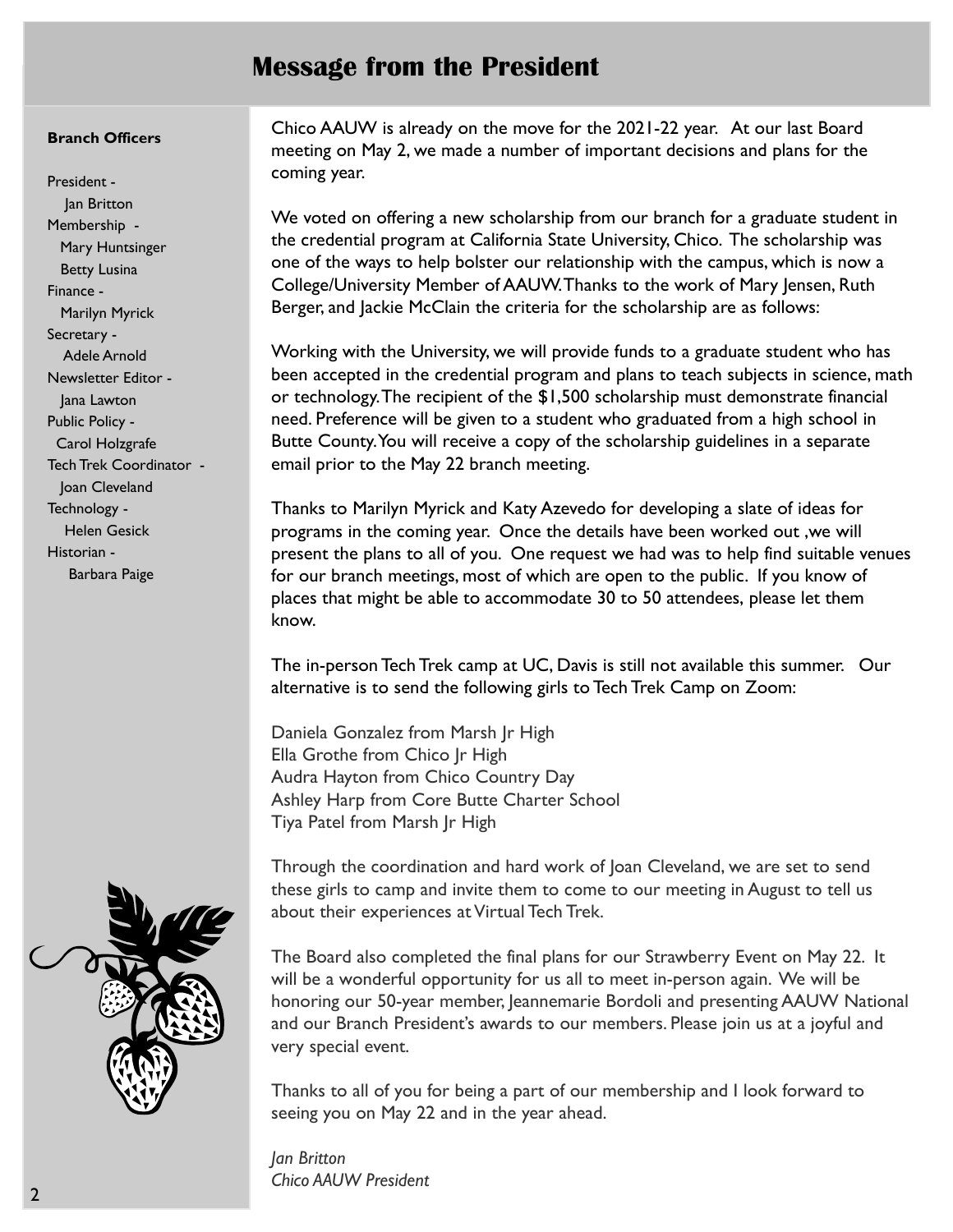## Message from the President

#### Branch Officers

President - Jan Britton Membership - Mary Huntsinger Betty Lusina Finance - Marilyn Myrick Secretary - Adele Arnold Newsletter Editor - Jana Lawton Public Policy - Carol Holzgrafe Tech Trek Coordinator - Joan Cleveland Technology - Helen Gesick Historian - Barbara Paige

Chico AAUW is already on the move for the 2021-22 year. At our last Board meeting on May 2, we made a number of important decisions and plans for the coming year.

We voted on offering a new scholarship from our branch for a graduate student in the credential program at California State University, Chico. The scholarship was one of the ways to help bolster our relationship with the campus, which is now a College/University Member of AAUW. Thanks to the work of Mary Jensen, Ruth Berger, and Jackie McClain the criteria for the scholarship are as follows:

Working with the University, we will provide funds to a graduate student who has been accepted in the credential program and plans to teach subjects in science, math or technology. The recipient of the \$1,500 scholarship must demonstrate financial need. Preference will be given to a student who graduated from a high school in Butte County. You will receive a copy of the scholarship guidelines in a separate email prior to the May 22 branch meeting.

Thanks to Marilyn Myrick and Katy Azevedo for developing a slate of ideas for programs in the coming year. Once the details have been worked out ,we will present the plans to all of you. One request we had was to help find suitable venues for our branch meetings, most of which are open to the public. If you know of places that might be able to accommodate 30 to 50 attendees, please let them know.

The in-person Tech Trek camp at UC, Davis is still not available this summer. Our alternative is to send the following girls to Tech Trek Camp on Zoom:

Daniela Gonzalez from Marsh Jr High Ella Grothe from Chico Jr High Audra Hayton from Chico Country Day Ashley Harp from Core Butte Charter School Tiya Patel from Marsh Jr High

Through the coordination and hard work of Joan Cleveland, we are set to send these girls to camp and invite them to come to our meeting in August to tell us about their experiences at Virtual Tech Trek.

The Board also completed the final plans for our Strawberry Event on May 22. It will be a wonderful opportunity for us all to meet in-person again. We will be honoring our 50-year member, Jeannemarie Bordoli and presenting AAUW National and our Branch President's awards to our members. Please join us at a joyful and very special event.

Thanks to all of you for being a part of our membership and I look forward to seeing you on May 22 and in the year ahead.

Jan Britton Chico AAUW President

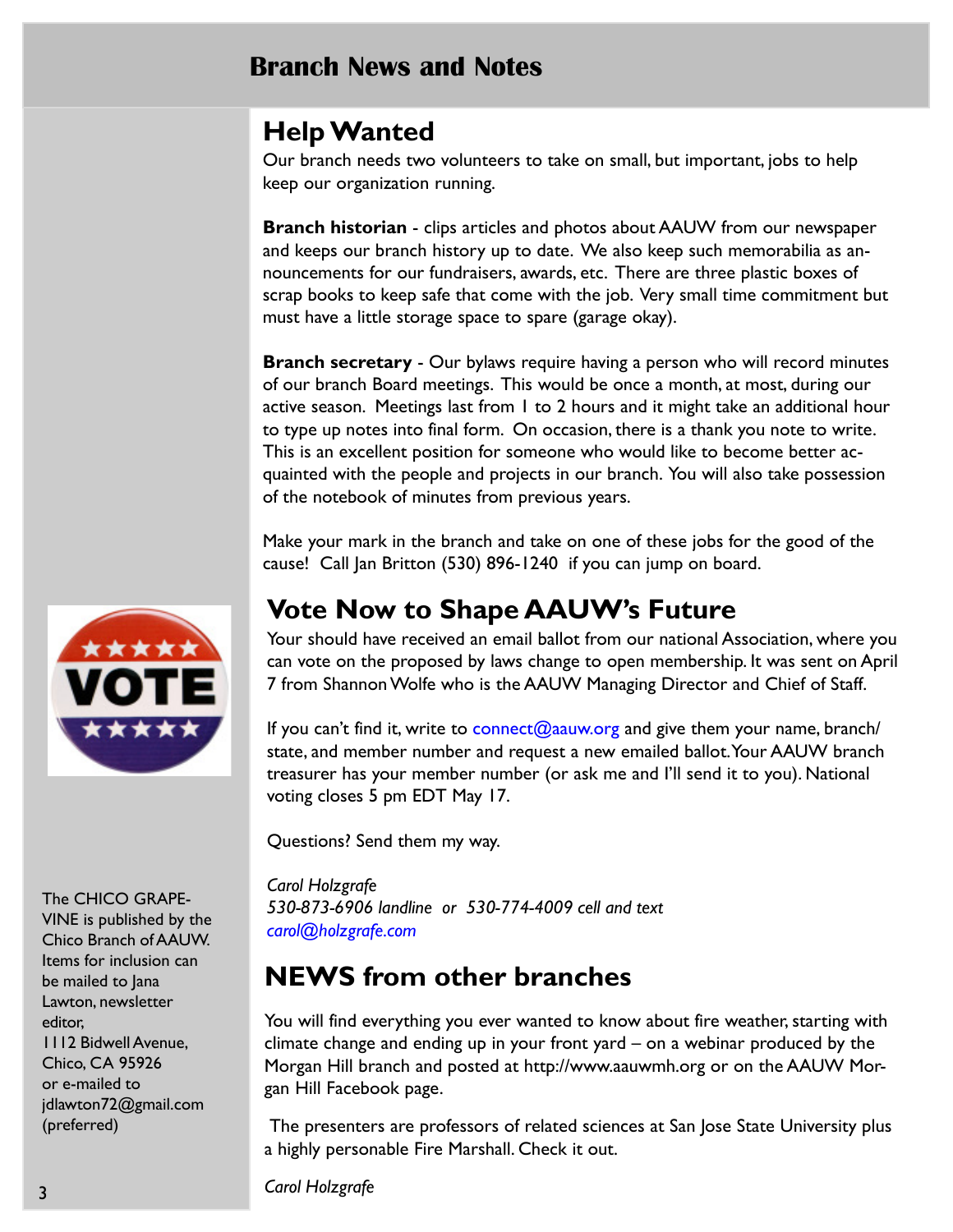## Branch News and Notes

# Help Wanted

Our branch needs two volunteers to take on small, but important, jobs to help keep our organization running.

**Branch historian** - clips articles and photos about AAUW from our newspaper and keeps our branch history up to date. We also keep such memorabilia as announcements for our fundraisers, awards, etc. There are three plastic boxes of scrap books to keep safe that come with the job. Very small time commitment but must have a little storage space to spare (garage okay).

**Branch secretary** - Our bylaws require having a person who will record minutes of our branch Board meetings. This would be once a month, at most, during our active season. Meetings last from 1 to 2 hours and it might take an additional hour to type up notes into final form. On occasion, there is a thank you note to write. This is an excellent position for someone who would like to become better acquainted with the people and projects in our branch. You will also take possession of the notebook of minutes from previous years.

Make your mark in the branch and take on one of these jobs for the good of the cause! Call Jan Britton (530) 896-1240 if you can jump on board.

# Vote Now to Shape AAUW's Future

Your should have received an email ballot from our national Association, where you can vote on the proposed by laws change to open membership. It was sent on April 7 from Shannon Wolfe who is the AAUW Managing Director and Chief of Staff.

If you can't find it, write to connect@aauw.org and give them your name, branch/ state, and member number and request a new emailed ballot. Your AAUW branch treasurer has your member number (or ask me and I'll send it to you). National voting closes 5 pm EDT May 17.

Questions? Send them my way.

Carol Holzgrafe 530-873-6906 landline or 530-774-4009 cell and text carol@holzgrafe.com

# NEWS from other branches

You will find everything you ever wanted to know about fire weather, starting with climate change and ending up in your front yard – on a webinar produced by the Morgan Hill branch and posted at http://www.aauwmh.org or on the AAUW Morgan Hill Facebook page.

 The presenters are professors of related sciences at San Jose State University plus a highly personable Fire Marshall. Check it out.

Carol Holzgrafe



The CHICO GRAPE-

VINE is published by the Chico Branch of AAUW. Items for inclusion can be mailed to Jana Lawton, newsletter editor, 1112 Bidwell Avenue, Chico, CA 95926 or e-mailed to jdlawton72@gmail.com (preferred)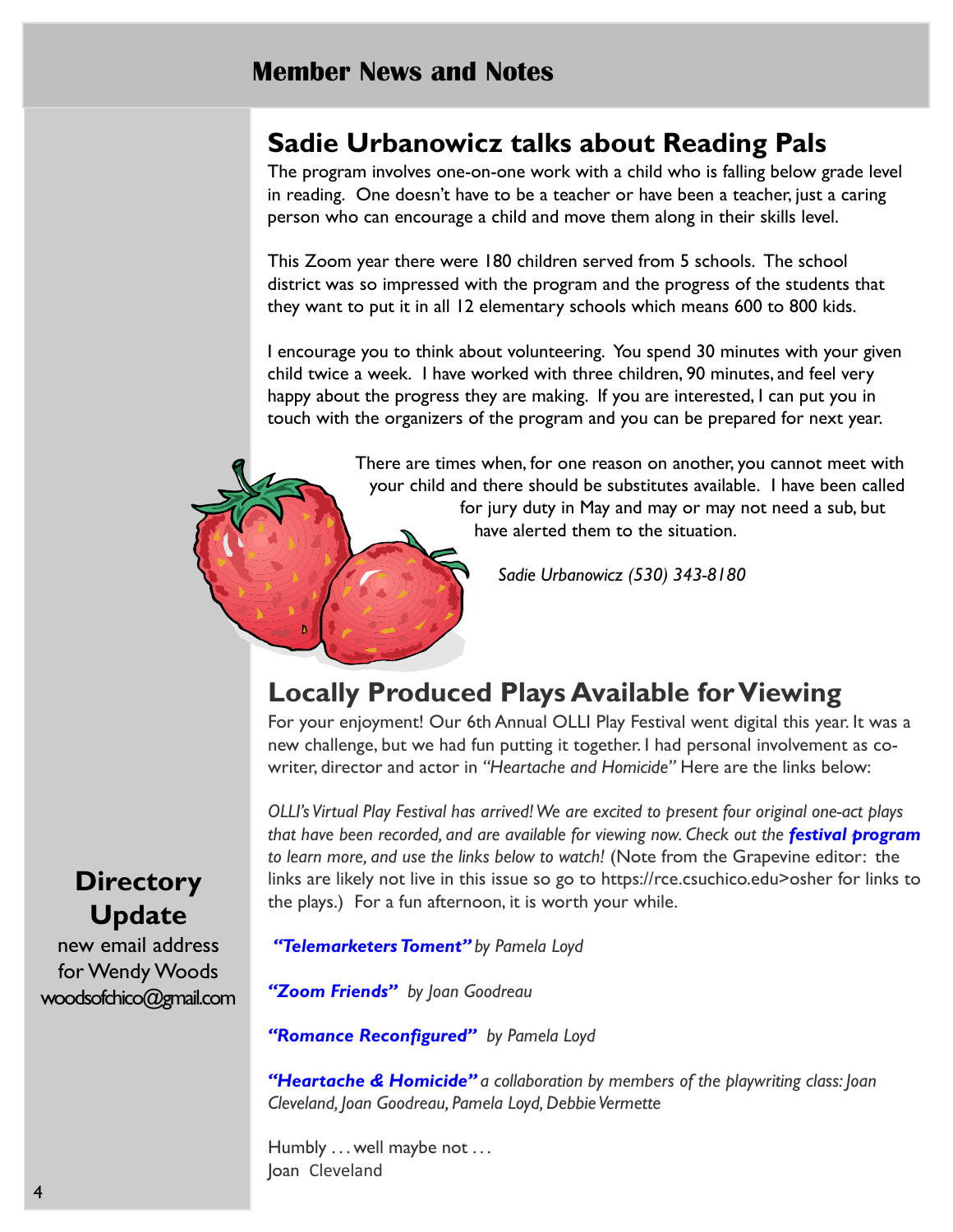## Sadie Urbanowicz talks about Reading Pals

The program involves one-on-one work with a child who is falling below grade level in reading. One doesn't have to be a teacher or have been a teacher, just a caring person who can encourage a child and move them along in their skills level.

This Zoom year there were 180 children served from 5 schools. The school district was so impressed with the program and the progress of the students that they want to put it in all 12 elementary schools which means 600 to 800 kids.

I encourage you to think about volunteering. You spend 30 minutes with your given child twice a week. I have worked with three children, 90 minutes, and feel very happy about the progress they are making. If you are interested, I can put you in touch with the organizers of the program and you can be prepared for next year.

> There are times when, for one reason on another, you cannot meet with your child and there should be substitutes available. I have been called for jury duty in May and may or may not need a sub, but have alerted them to the situation.

> > Sadie Urbanowicz (530) 343-8180

# Locally Produced Plays Available for Viewing

For your enjoyment! Our 6th Annual OLLI Play Festival went digital this year. It was a new challenge, but we had fun putting it together. I had personal involvement as cowriter, director and actor in "Heartache and Homicide" Here are the links below:

OLLI's Virtual Play Festival has arrived! We are excited to present four original one-act plays that have been recorded, and are available for viewing now. Check out the **festival program** to learn more, and use the links below to watch! (Note from the Grapevine editor: the links are likely not live in this issue so go to https://rce.csuchico.edu>osher for links to the plays.) For a fun afternoon, it is worth your while.

"Telemarketers Toment" by Pamela Loyd

"Zoom Friends" by Joan Goodreau

"Romance Reconfigured" by Pamela Loyd

"Heartache & Homicide" a collaboration by members of the playwriting class: Joan Cleveland, Joan Goodreau, Pamela Loyd, Debbie Vermette

Humbly ... well maybe not ... Joan Cleveland

# **Directory** Update

new email address for Wendy Woods woodsofchico@gmail.com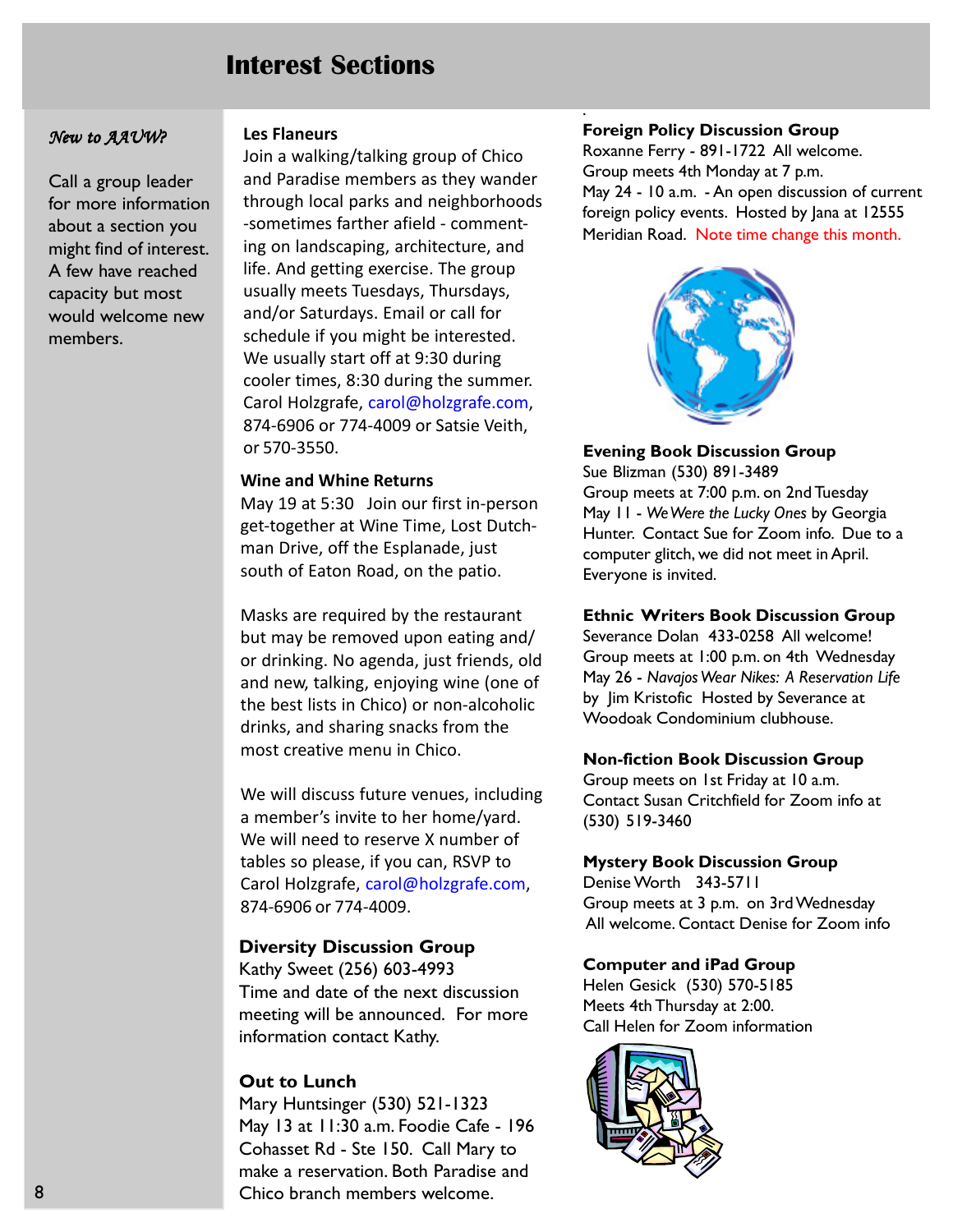## Interest Sections

#### New to AAUW?

Call a group leader for more information about a section you might find of interest. A few have reached capacity but most would welcome new members.

#### Les Flaneurs

Join a walking/talking group of Chico and Paradise members as they wander through local parks and neighborhoods -sometimes farther afield - commenting on landscaping, architecture, and life. And getting exercise. The group usually meets Tuesdays, Thursdays, and/or Saturdays. Email or call for schedule if you might be interested. We usually start off at 9:30 during cooler times, 8:30 during the summer. Carol Holzgrafe, carol@holzgrafe.com, 874-6906 or 774-4009 or Satsie Veith, or 570-3550.

#### Wine and Whine Returns

May 19 at 5:30 Join our first in-person get-together at Wine Time, Lost Dutchman Drive, off the Esplanade, just south of Eaton Road, on the patio.

Masks are required by the restaurant but may be removed upon eating and/ or drinking. No agenda, just friends, old and new, talking, enjoying wine (one of the best lists in Chico) or non-alcoholic drinks, and sharing snacks from the most creative menu in Chico.

We will discuss future venues, including a member's invite to her home/yard. We will need to reserve X number of tables so please, if you can, RSVP to Carol Holzgrafe, carol@holzgrafe.com, 874-6906 or 774-4009.

#### Diversity Discussion Group

Kathy Sweet (256) 603-4993 Time and date of the next discussion meeting will be announced. For more information contact Kathy.

#### Out to Lunch

Mary Huntsinger (530) 521-1323 May 13 at 11:30 a.m. Foodie Cafe - 196 Cohasset Rd - Ste 150. Call Mary to make a reservation. Both Paradise and Chico branch members welcome.

#### Foreign Policy Discussion Group

.

Roxanne Ferry - 891-1722 All welcome. Group meets 4th Monday at 7 p.m. May 24 - 10 a.m. - An open discussion of current foreign policy events. Hosted by Jana at 12555 Meridian Road. Note time change this month.



#### Evening Book Discussion Group

Sue Blizman (530) 891-3489 Group meets at 7:00 p.m. on 2nd Tuesday May 11 - We Were the Lucky Ones by Georgia Hunter. Contact Sue for Zoom info. Due to a computer glitch, we did not meet in April. Everyone is invited.

#### Ethnic Writers Book Discussion Group

Severance Dolan 433-0258 All welcome! Group meets at 1:00 p.m. on 4th Wednesday May 26 - Navajos Wear Nikes: A Reservation Life by Jim Kristofic Hosted by Severance at Woodoak Condominium clubhouse.

#### Non-fiction Book Discussion Group

Group meets on 1st Friday at 10 a.m. Contact Susan Critchfield for Zoom info at (530) 519-3460

#### Mystery Book Discussion Group

Denise Worth 343-5711 Group meets at 3 p.m. on 3rd Wednesday All welcome. Contact Denise for Zoom info

#### Computer and iPad Group

Helen Gesick (530) 570-5185 Meets 4th Thursday at 2:00. Call Helen for Zoom information